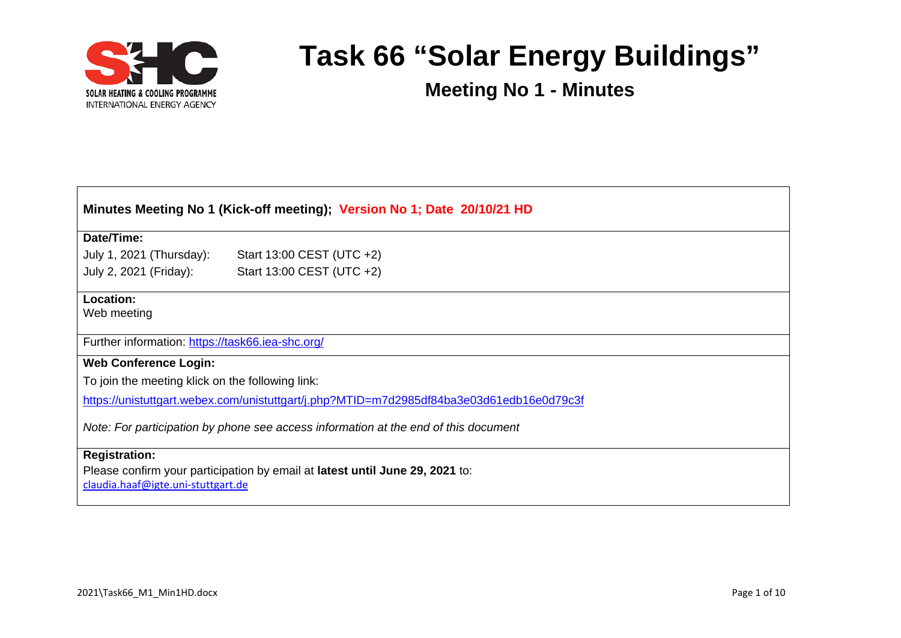

| Minutes Meeting No 1 (Kick-off meeting); Version No 1; Date 20/10/21 HD                  |                           |  |  |
|------------------------------------------------------------------------------------------|---------------------------|--|--|
|                                                                                          |                           |  |  |
| Date/Time:                                                                               |                           |  |  |
| July 1, 2021 (Thursday):                                                                 | Start 13:00 CEST (UTC +2) |  |  |
| July 2, 2021 (Friday):                                                                   | Start 13:00 CEST (UTC +2) |  |  |
| Location:                                                                                |                           |  |  |
| Web meeting                                                                              |                           |  |  |
| Further information: https://task66.iea-shc.org/                                         |                           |  |  |
| <b>Web Conference Login:</b>                                                             |                           |  |  |
| To join the meeting klick on the following link:                                         |                           |  |  |
| https://unistuttgart.webex.com/unistuttgart/j.php?MTID=m7d2985df84ba3e03d61edb16e0d79c3f |                           |  |  |
| Note: For participation by phone see access information at the end of this document      |                           |  |  |
| <b>Registration:</b>                                                                     |                           |  |  |
| Please confirm your participation by email at latest until June 29, 2021 to:             |                           |  |  |
| claudia.haaf@igte.uni-stuttgart.de                                                       |                           |  |  |
|                                                                                          |                           |  |  |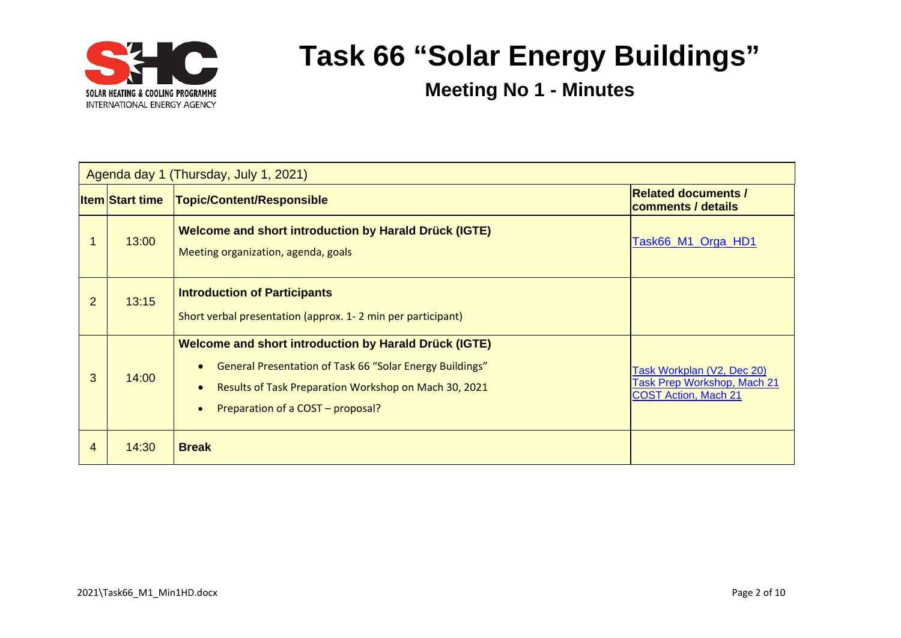

| Agenda day 1 (Thursday, July 1, 2021) |                        |                                                                                                                                                                                                                        |                                                                                                 |  |
|---------------------------------------|------------------------|------------------------------------------------------------------------------------------------------------------------------------------------------------------------------------------------------------------------|-------------------------------------------------------------------------------------------------|--|
|                                       | <b>Item Start time</b> | Topic/Content/Responsible                                                                                                                                                                                              | <b>Related documents /</b><br>comments / details                                                |  |
|                                       | 13:00                  | <b>Welcome and short introduction by Harald Drück (IGTE)</b><br>Meeting organization, agenda, goals                                                                                                                    | Task66_M1_Orga_HD1                                                                              |  |
| $\overline{2}$                        | 13:15                  | <b>Introduction of Participants</b><br>Short verbal presentation (approx. 1-2 min per participant)                                                                                                                     |                                                                                                 |  |
| 3                                     | 14:00                  | <b>Welcome and short introduction by Harald Drück (IGTE)</b><br>General Presentation of Task 66 "Solar Energy Buildings"<br>Results of Task Preparation Workshop on Mach 30, 2021<br>Preparation of a COST - proposal? | Task Workplan (V2, Dec 20)<br><b>Task Prep Workshop, Mach 21</b><br><b>COST Action, Mach 21</b> |  |
| 4                                     | 14:30                  | <b>Break</b>                                                                                                                                                                                                           |                                                                                                 |  |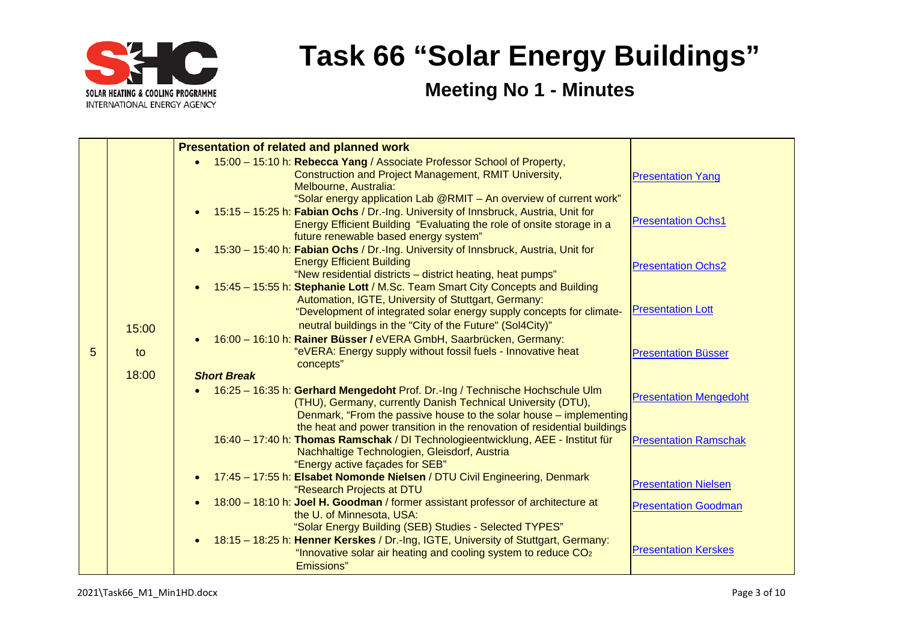

|   |       | <b>Presentation of related and planned work</b>                                    |                               |
|---|-------|------------------------------------------------------------------------------------|-------------------------------|
|   |       | 15:00 - 15:10 h: Rebecca Yang / Associate Professor School of Property,            |                               |
|   |       | Construction and Project Management, RMIT University,                              | <b>Presentation Yang</b>      |
|   |       | Melbourne, Australia:                                                              |                               |
|   |       | "Solar energy application Lab @RMIT - An overview of current work"                 |                               |
|   |       | 15:15 - 15:25 h: Fabian Ochs / Dr.-Ing. University of Innsbruck, Austria, Unit for |                               |
|   |       | Energy Efficient Building "Evaluating the role of onsite storage in a              | <b>Presentation Ochs1</b>     |
|   |       | future renewable based energy system"                                              |                               |
|   |       | 15:30 - 15:40 h: Fabian Ochs / Dr.-Ing. University of Innsbruck, Austria, Unit for |                               |
|   |       | <b>Energy Efficient Building</b>                                                   | <b>Presentation Ochs2</b>     |
|   |       | "New residential districts - district heating, heat pumps"                         |                               |
|   |       | 15:45 - 15:55 h: Stephanie Lott / M.Sc. Team Smart City Concepts and Building      |                               |
|   |       | Automation, IGTE, University of Stuttgart, Germany:                                | <b>Presentation Lott</b>      |
|   |       | "Development of integrated solar energy supply concepts for climate-               |                               |
|   | 15:00 | neutral buildings in the "City of the Future" (Sol4City)"                          |                               |
|   |       | 16:00 - 16:10 h: Rainer Büsser / eVERA GmbH, Saarbrücken, Germany:                 |                               |
| 5 | to    | "eVERA: Energy supply without fossil fuels - Innovative heat<br>concepts"          | <b>Presentation Büsser</b>    |
|   | 18:00 | <b>Short Break</b>                                                                 |                               |
|   |       | 16:25 - 16:35 h: Gerhard Mengedoht Prof. Dr.-Ing / Technische Hochschule Ulm       |                               |
|   |       | (THU), Germany, currently Danish Technical University (DTU),                       | <b>Presentation Mengedoht</b> |
|   |       | Denmark, "From the passive house to the solar house – implementing                 |                               |
|   |       | the heat and power transition in the renovation of residential buildings           |                               |
|   |       | 16:40 - 17:40 h: Thomas Ramschak / DI Technologieentwicklung, AEE - Institut für   | <b>Presentation Ramschak</b>  |
|   |       | Nachhaltige Technologien, Gleisdorf, Austria                                       |                               |
|   |       | "Energy active façades for SEB"                                                    |                               |
|   |       | 17:45 - 17:55 h: Elsabet Nomonde Nielsen / DTU Civil Engineering, Denmark          |                               |
|   |       | "Research Projects at DTU                                                          | <b>Presentation Nielsen</b>   |
|   |       | 18:00 - 18:10 h: Joel H. Goodman / former assistant professor of architecture at   | <b>Presentation Goodman</b>   |
|   |       | the U. of Minnesota, USA:                                                          |                               |
|   |       | "Solar Energy Building (SEB) Studies - Selected TYPES"                             |                               |
|   |       | 18:15 - 18:25 h: Henner Kerskes / Dr.-Ing, IGTE, University of Stuttgart, Germany: |                               |
|   |       | "Innovative solar air heating and cooling system to reduce CO <sub>2</sub>         | <b>Presentation Kerskes</b>   |
|   |       | Emissions"                                                                         |                               |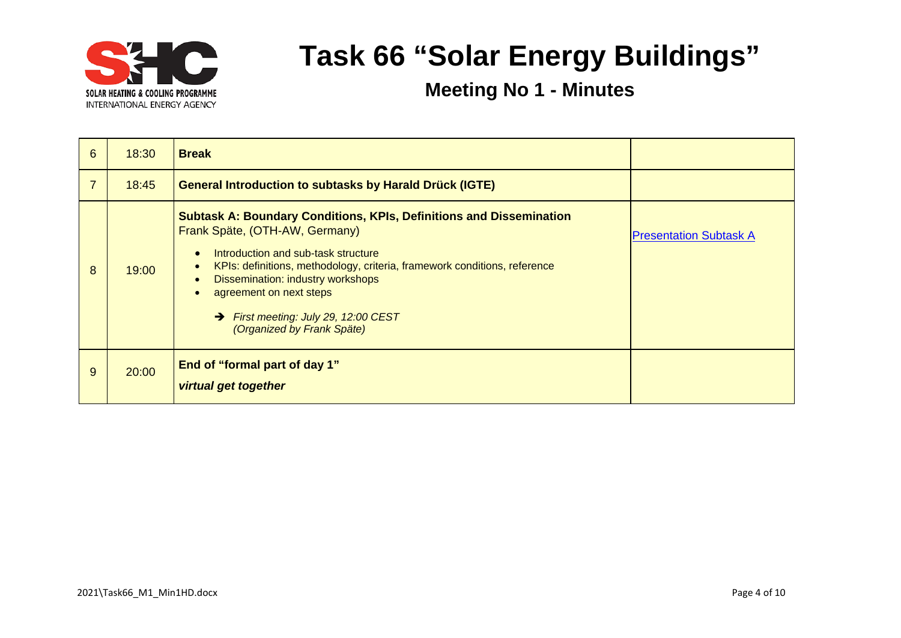

| 6 | 18:30 | <b>Break</b>                                                                                                                                                                                                                                                                                                                                                                                                                        |                               |
|---|-------|-------------------------------------------------------------------------------------------------------------------------------------------------------------------------------------------------------------------------------------------------------------------------------------------------------------------------------------------------------------------------------------------------------------------------------------|-------------------------------|
| 7 | 18:45 | <b>General Introduction to subtasks by Harald Drück (IGTE)</b>                                                                                                                                                                                                                                                                                                                                                                      |                               |
| 8 | 19:00 | <b>Subtask A: Boundary Conditions, KPIs, Definitions and Dissemination</b><br>Frank Späte, (OTH-AW, Germany)<br>Introduction and sub-task structure<br>$\bullet$<br>KPIs: definitions, methodology, criteria, framework conditions, reference<br>$\bullet$<br><b>Dissemination: industry workshops</b><br>$\bullet$<br>agreement on next steps<br>First meeting: July 29, 12:00 CEST<br>$\rightarrow$<br>(Organized by Frank Späte) | <b>Presentation Subtask A</b> |
| 9 | 20:00 | <b>End of "formal part of day 1"</b><br><b>virtual get together</b>                                                                                                                                                                                                                                                                                                                                                                 |                               |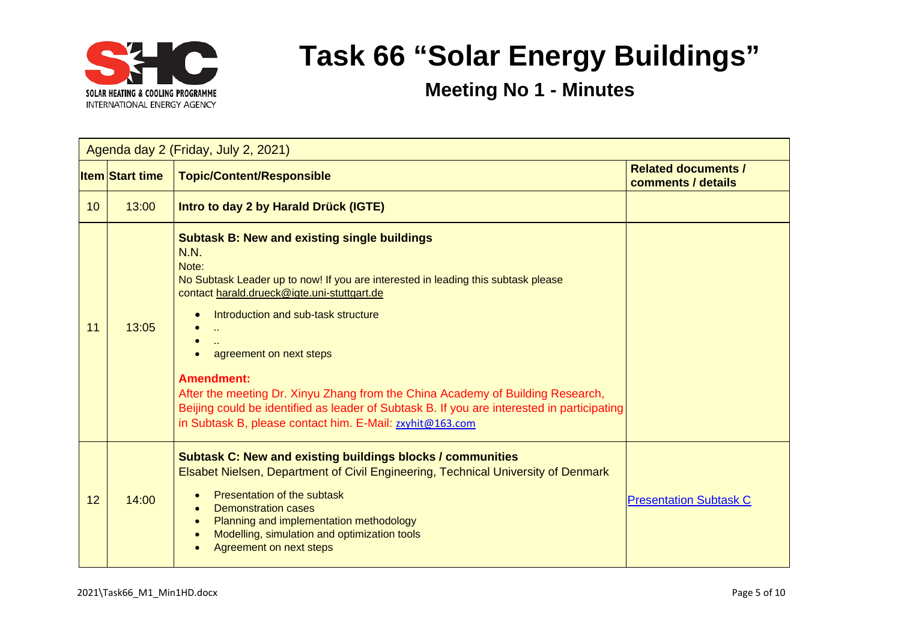

| Agenda day 2 (Friday, July 2, 2021) |                        |                                                                                                                                                                                                                                                                                                                                                                                                                                                                                                                                             |                                                  |  |
|-------------------------------------|------------------------|---------------------------------------------------------------------------------------------------------------------------------------------------------------------------------------------------------------------------------------------------------------------------------------------------------------------------------------------------------------------------------------------------------------------------------------------------------------------------------------------------------------------------------------------|--------------------------------------------------|--|
|                                     | <b>Item Start time</b> | <b>Topic/Content/Responsible</b>                                                                                                                                                                                                                                                                                                                                                                                                                                                                                                            | <b>Related documents /</b><br>comments / details |  |
| 10 <sup>°</sup>                     | 13:00                  | Intro to day 2 by Harald Drück (IGTE)                                                                                                                                                                                                                                                                                                                                                                                                                                                                                                       |                                                  |  |
| 11                                  | 13:05                  | <b>Subtask B: New and existing single buildings</b><br>N.N.<br>Note:<br>No Subtask Leader up to now! If you are interested in leading this subtask please<br>contact harald.drueck@igte.uni-stuttgart.de<br>Introduction and sub-task structure<br>agreement on next steps<br><b>Amendment:</b><br>After the meeting Dr. Xinyu Zhang from the China Academy of Building Research,<br>Beijing could be identified as leader of Subtask B. If you are interested in participating<br>in Subtask B, please contact him. E-Mail: zxyhit@163.com |                                                  |  |
| 12                                  | 14:00                  | <b>Subtask C: New and existing buildings blocks / communities</b><br>Elsabet Nielsen, Department of Civil Engineering, Technical University of Denmark<br><b>Presentation of the subtask</b><br><b>Demonstration cases</b><br>Planning and implementation methodology<br>Modelling, simulation and optimization tools<br>Agreement on next steps                                                                                                                                                                                            | <b>Presentation Subtask C</b>                    |  |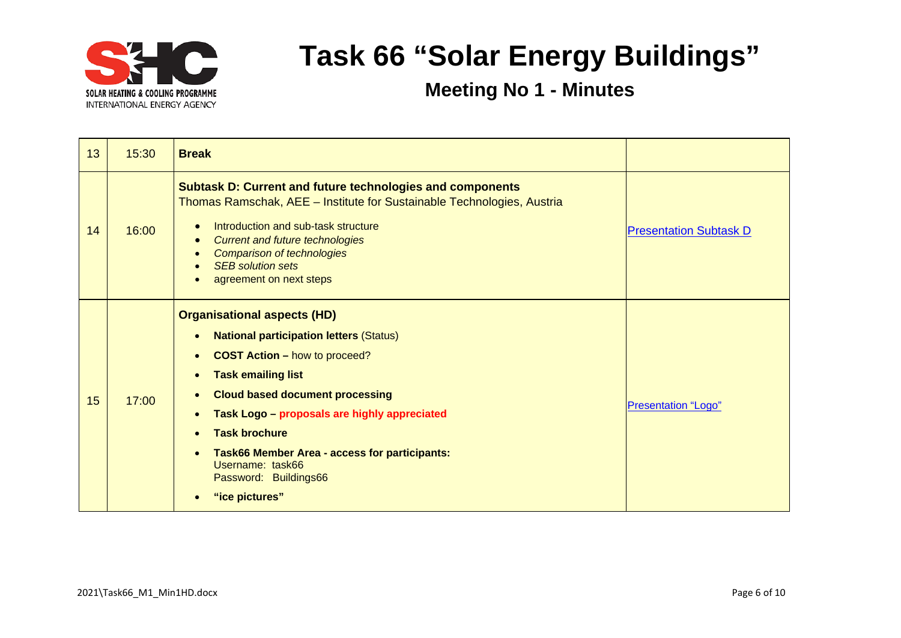

| 13 | 15:30 | <b>Break</b>                                                                                                                                                                                                                                                                                                                                                                                                                                    |                               |
|----|-------|-------------------------------------------------------------------------------------------------------------------------------------------------------------------------------------------------------------------------------------------------------------------------------------------------------------------------------------------------------------------------------------------------------------------------------------------------|-------------------------------|
| 14 | 16:00 | <b>Subtask D: Current and future technologies and components</b><br>Thomas Ramschak, AEE - Institute for Sustainable Technologies, Austria<br>Introduction and sub-task structure<br><b>Current and future technologies</b><br>$\bullet$<br><b>Comparison of technologies</b><br><b>SEB</b> solution sets<br>agreement on next steps                                                                                                            | <b>Presentation Subtask D</b> |
| 15 | 17:00 | <b>Organisational aspects (HD)</b><br><b>National participation letters (Status)</b><br><b>COST Action - how to proceed?</b><br>$\bullet$<br><b>Task emailing list</b><br>$\bullet$<br><b>Cloud based document processing</b><br>$\bullet$<br>Task Logo - proposals are highly appreciated<br>$\bullet$<br><b>Task brochure</b><br>Task66 Member Area - access for participants:<br>Username: task66<br>Password: Buildings66<br>"ice pictures" | <b>Presentation "Logo"</b>    |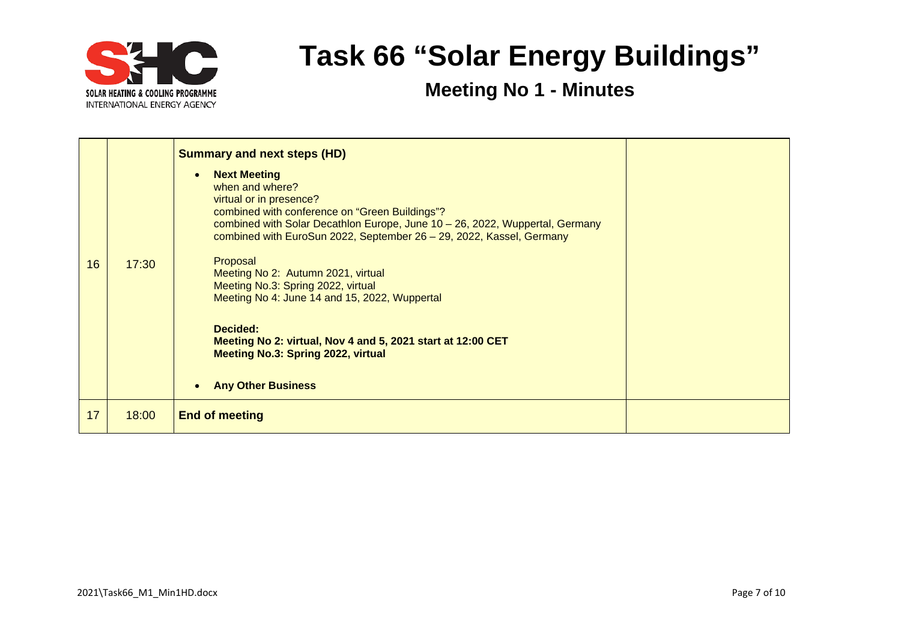

|    |       | <b>Summary and next steps (HD)</b>                                                                                                                                                                                                                                                                                                                                                                                                                                                                                                                                                     |  |
|----|-------|----------------------------------------------------------------------------------------------------------------------------------------------------------------------------------------------------------------------------------------------------------------------------------------------------------------------------------------------------------------------------------------------------------------------------------------------------------------------------------------------------------------------------------------------------------------------------------------|--|
| 16 | 17:30 | <b>Next Meeting</b><br>$\bullet$<br>when and where?<br>virtual or in presence?<br>combined with conference on "Green Buildings"?<br>combined with Solar Decathlon Europe, June 10 - 26, 2022, Wuppertal, Germany<br>combined with EuroSun 2022, September 26 - 29, 2022, Kassel, Germany<br>Proposal<br>Meeting No 2: Autumn 2021, virtual<br>Meeting No.3: Spring 2022, virtual<br>Meeting No 4: June 14 and 15, 2022, Wuppertal<br>Decided:<br>Meeting No 2: virtual, Nov 4 and 5, 2021 start at 12:00 CET<br><b>Meeting No.3: Spring 2022, virtual</b><br><b>Any Other Business</b> |  |
| 17 | 18:00 | <b>End of meeting</b>                                                                                                                                                                                                                                                                                                                                                                                                                                                                                                                                                                  |  |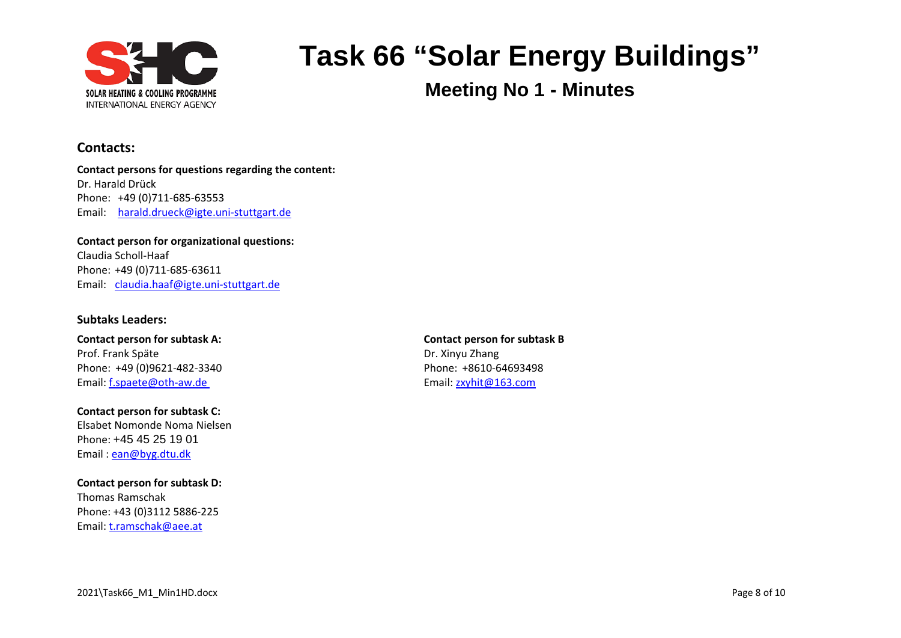

**Meeting No 1 - Minutes**

### **Contacts:**

**Contact persons for questions regarding the content:** Dr. Harald Drück Phone: +49 (0)711-685-63553 Email: [harald.drueck@igte.uni-stuttgart.de](mailto:harald.drueck@igte.uni-stuttgart.de)

**Contact person for organizational questions:** Claudia Scholl-Haaf Phone: +49 (0)711-685-63611 Email: [claudia.haaf@igte.uni-stuttgart.de](mailto:claudia.haaf@igte.uni-stuttgart.de)

#### **Subtaks Leaders:**

**Contact person for subtask A: Contact person for subtask B** Prof. Frank Späte Dr. Xinyu Zhang Phone: +49 (0)9621-482-3340 Phone: +8610-64693498 Email: [f.spaete@oth-aw.de](mailto:f.spaete@oth-aw.de) Email: f.spaete@oth-aw.de

**Contact person for subtask C:** Elsabet Nomonde Noma Nielsen Phone: +45 45 25 19 01 Email : [ean@byg.dtu.dk](mailto:ean@byg.dtu.dk)

**Contact person for subtask D:** Thomas Ramschak Phone: +43 (0)3112 5886-225 Email: [t.ramschak@aee.at](mailto:t.ramschak@aee.at)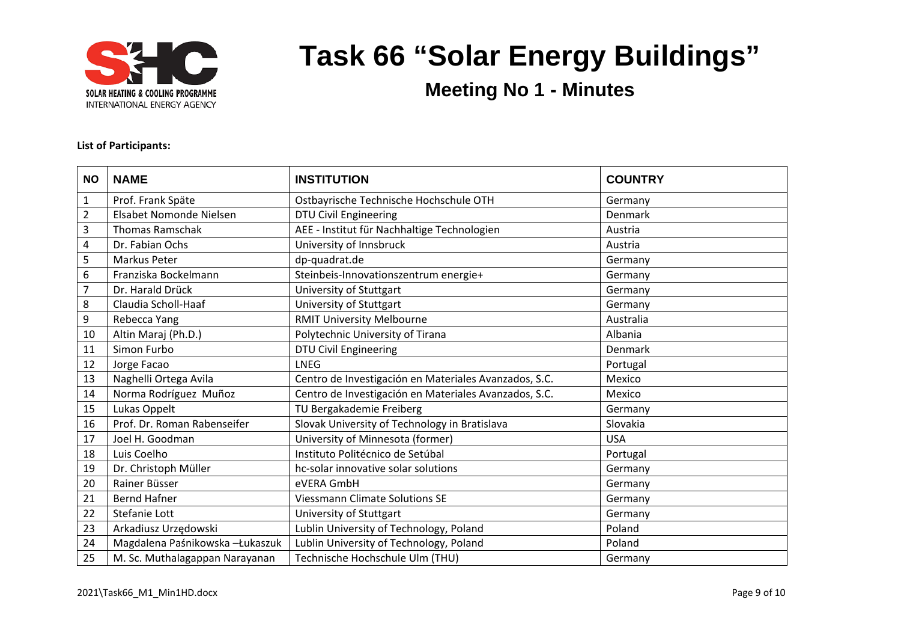

**Meeting No 1 - Minutes**

#### **List of Participants:**

| <b>NO</b>      | <b>NAME</b>                      | <b>INSTITUTION</b>                                    | <b>COUNTRY</b> |
|----------------|----------------------------------|-------------------------------------------------------|----------------|
| $\mathbf{1}$   | Prof. Frank Späte                | Ostbayrische Technische Hochschule OTH                | Germany        |
| $\overline{2}$ | Elsabet Nomonde Nielsen          | <b>DTU Civil Engineering</b>                          | Denmark        |
| 3              | <b>Thomas Ramschak</b>           | AEE - Institut für Nachhaltige Technologien           | Austria        |
| 4              | Dr. Fabian Ochs                  | University of Innsbruck                               | Austria        |
| 5              | Markus Peter                     | dp-quadrat.de                                         | Germany        |
| 6              | Franziska Bockelmann             | Steinbeis-Innovationszentrum energie+                 | Germany        |
| 7              | Dr. Harald Drück                 | University of Stuttgart                               | Germany        |
| 8              | Claudia Scholl-Haaf              | University of Stuttgart                               | Germany        |
| 9              | Rebecca Yang                     | <b>RMIT University Melbourne</b>                      | Australia      |
| 10             | Altin Maraj (Ph.D.)              | Polytechnic University of Tirana                      | Albania        |
| 11             | Simon Furbo                      | <b>DTU Civil Engineering</b>                          | Denmark        |
| 12             | Jorge Facao                      | <b>LNEG</b>                                           | Portugal       |
| 13             | Naghelli Ortega Avila            | Centro de Investigación en Materiales Avanzados, S.C. | Mexico         |
| 14             | Norma Rodríguez Muñoz            | Centro de Investigación en Materiales Avanzados, S.C. | Mexico         |
| 15             | Lukas Oppelt                     | TU Bergakademie Freiberg                              | Germany        |
| 16             | Prof. Dr. Roman Rabenseifer      | Slovak University of Technology in Bratislava         | Slovakia       |
| 17             | Joel H. Goodman                  | University of Minnesota (former)                      | <b>USA</b>     |
| 18             | Luis Coelho                      | Instituto Politécnico de Setúbal                      | Portugal       |
| 19             | Dr. Christoph Müller             | hc-solar innovative solar solutions                   | Germany        |
| 20             | Rainer Büsser                    | eVERA GmbH                                            | Germany        |
| 21             | <b>Bernd Hafner</b>              | <b>Viessmann Climate Solutions SE</b>                 | Germany        |
| 22             | Stefanie Lott                    | University of Stuttgart                               | Germany        |
| 23             | Arkadiusz Urzędowski             | Lublin University of Technology, Poland               | Poland         |
| 24             | Magdalena Paśnikowska - Łukaszuk | Lublin University of Technology, Poland               | Poland         |
| 25             | M. Sc. Muthalagappan Narayanan   | Technische Hochschule Ulm (THU)                       | Germany        |